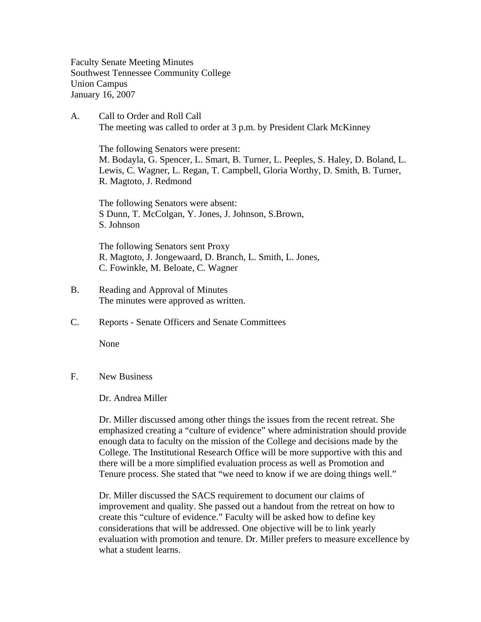Faculty Senate Meeting Minutes Southwest Tennessee Community College Union Campus January 16, 2007

A. Call to Order and Roll Call The meeting was called to order at 3 p.m. by President Clark McKinney

 The following Senators were present: M. Bodayla, G. Spencer, L. Smart, B. Turner, L. Peeples, S. Haley, D. Boland, L. Lewis, C. Wagner, L. Regan, T. Campbell, Gloria Worthy, D. Smith, B. Turner, R. Magtoto, J. Redmond

The following Senators were absent: S Dunn, T. McColgan, Y. Jones, J. Johnson, S.Brown, S. Johnson

The following Senators sent Proxy R. Magtoto, J. Jongewaard, D. Branch, L. Smith, L. Jones, C. Fowinkle, M. Beloate, C. Wagner

- B. Reading and Approval of Minutes The minutes were approved as written.
- C. Reports Senate Officers and Senate Committees

None

F. New Business

Dr. Andrea Miller

Dr. Miller discussed among other things the issues from the recent retreat. She emphasized creating a "culture of evidence" where administration should provide enough data to faculty on the mission of the College and decisions made by the College. The Institutional Research Office will be more supportive with this and there will be a more simplified evaluation process as well as Promotion and Tenure process. She stated that "we need to know if we are doing things well."

Dr. Miller discussed the SACS requirement to document our claims of improvement and quality. She passed out a handout from the retreat on how to create this "culture of evidence." Faculty will be asked how to define key considerations that will be addressed. One objective will be to link yearly evaluation with promotion and tenure. Dr. Miller prefers to measure excellence by what a student learns.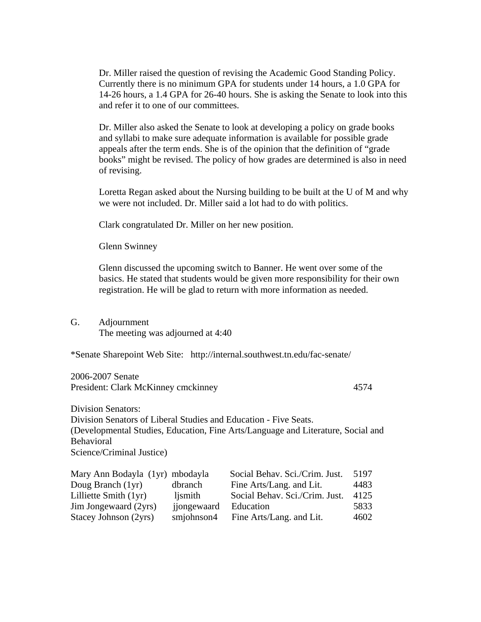Dr. Miller raised the question of revising the Academic Good Standing Policy. Currently there is no minimum GPA for students under 14 hours, a 1.0 GPA for 14-26 hours, a 1.4 GPA for 26-40 hours. She is asking the Senate to look into this and refer it to one of our committees.

Dr. Miller also asked the Senate to look at developing a policy on grade books and syllabi to make sure adequate information is available for possible grade appeals after the term ends. She is of the opinion that the definition of "grade books" might be revised. The policy of how grades are determined is also in need of revising.

Loretta Regan asked about the Nursing building to be built at the U of M and why we were not included. Dr. Miller said a lot had to do with politics.

Clark congratulated Dr. Miller on her new position.

Glenn Swinney

Glenn discussed the upcoming switch to Banner. He went over some of the basics. He stated that students would be given more responsibility for their own registration. He will be glad to return with more information as needed.

G. Adjournment The meeting was adjourned at 4:40

\*Senate Sharepoint Web Site: http://internal.southwest.tn.edu/fac-senate/

2006-2007 Senate President: Clark McKinney cmckinney 4574 Division Senators: Division Senators of Liberal Studies and Education - Five Seats. (Developmental Studies, Education, Fine Arts/Language and Literature, Social and Behavioral

Science/Criminal Justice)

| Mary Ann Bodayla (1yr) mbodayla |             | Social Behav. Sci./Crim. Just. | 5197 |
|---------------------------------|-------------|--------------------------------|------|
| Doug Branch (1yr)               | dbranch     | Fine Arts/Lang. and Lit.       | 4483 |
| Lilliette Smith (1yr)           | ljsmith     | Social Behav. Sci./Crim. Just. | 4125 |
| Jim Jongewaard (2yrs)           | jjongewaard | Education                      | 5833 |
| Stacey Johnson (2yrs)           | smjohnson4  | Fine Arts/Lang. and Lit.       | 4602 |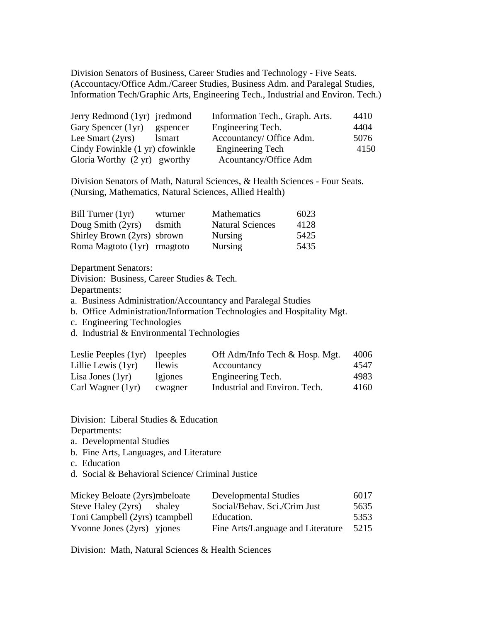Division Senators of Business, Career Studies and Technology - Five Seats. (Accountacy/Office Adm./Career Studies, Business Adm. and Paralegal Studies, Information Tech/Graphic Arts, Engineering Tech., Industrial and Environ. Tech.)

| Jerry Redmond (1yr) jredmond           |               | Information Tech., Graph. Arts. | 4410 |
|----------------------------------------|---------------|---------------------------------|------|
| Gary Spencer (1yr)                     | gspencer      | Engineering Tech.               | 4404 |
| Lee Smart $(2yrs)$                     | <i>lsmart</i> | Accountancy/ Office Adm.        | 5076 |
| Cindy Fowinkle (1 yr) cfowinkle        |               | Engineering Tech                | 4150 |
| Gloria Worthy $(2 \text{ yr})$ gworthy |               | Acountancy/Office Adm           |      |

Division Senators of Math, Natural Sciences, & Health Sciences - Four Seats. (Nursing, Mathematics, Natural Sciences, Allied Health)

| Bill Turner (1yr)           | wturner | <b>Mathematics</b>      | 6023 |
|-----------------------------|---------|-------------------------|------|
| Doug Smith (2yrs)           | dsmith  | <b>Natural Sciences</b> | 4128 |
| Shirley Brown (2yrs) sbrown |         | <b>Nursing</b>          | 5425 |
| Roma Magtoto (1yr) rmagtoto |         | <b>Nursing</b>          | 5435 |

Department Senators:

Division: Business, Career Studies & Tech.

Departments:

a. Business Administration/Accountancy and Paralegal Studies

b. Office Administration/Information Technologies and Hospitality Mgt.

- c. Engineering Technologies
- d. Industrial & Environmental Technologies

| lpeeples | Off Adm/Info Tech & Hosp. Mgt. | 4006 |
|----------|--------------------------------|------|
| llewis   | Accountancy                    | 4547 |
| lgiones  | Engineering Tech.              | 4983 |
| cwagner  | Industrial and Environ. Tech.  | 4160 |
|          |                                |      |

Division: Liberal Studies & Education Departments:

- a. Developmental Studies
- b. Fine Arts, Languages, and Literature
- c. Education
- d. Social & Behavioral Science/ Criminal Justice

| Mickey Beloate (2yrs)mbeloate  | Developmental Studies             | 6017 |
|--------------------------------|-----------------------------------|------|
| Steve Haley (2yrs) shaley      | Social/Behav. Sci./Crim Just      | 5635 |
| Toni Campbell (2yrs) tcampbell | Education.                        | 5353 |
| Yvonne Jones (2yrs) yjones     | Fine Arts/Language and Literature | 5215 |

Division: Math, Natural Sciences & Health Sciences